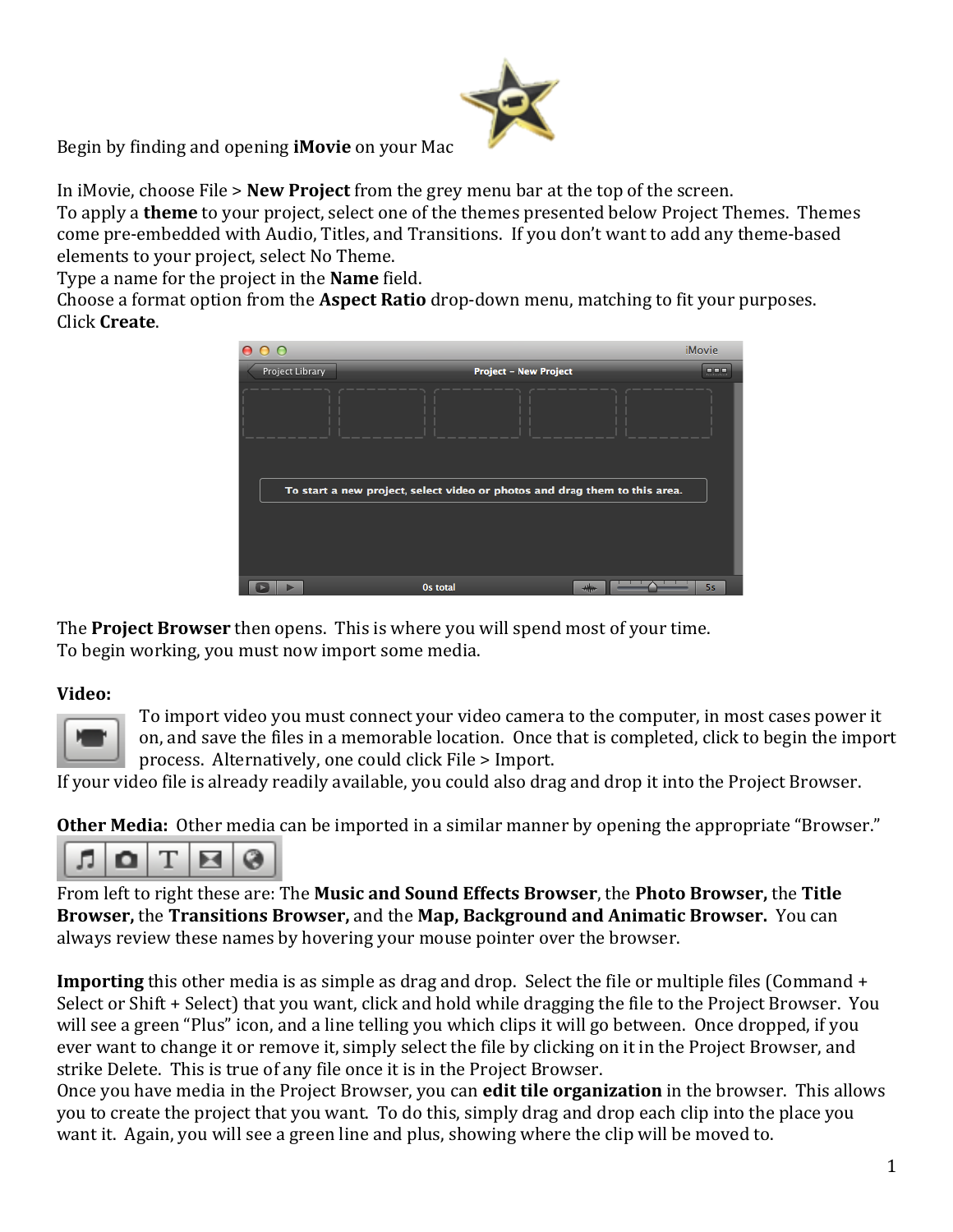

Begin by finding and opening **iMovie** on your Mac

In iMovie, choose File > **New Project** from the grey menu bar at the top of the screen.

To apply a **theme** to your project, select one of the themes presented below Project Themes. Themes come pre-embedded with Audio, Titles, and Transitions. If you don't want to add any theme-based elements to your project, select No Theme.

Type a name for the project in the **Name** field.

Choose a format option from the **Aspect Ratio** drop-down menu, matching to fit your purposes. Click **Create**.



The **Project Browser** then opens. This is where you will spend most of your time. To begin working, you must now import some media.

## **Video:**



To import video you must connect your video camera to the computer, in most cases power it on, and save the files in a memorable location. Once that is completed, click to begin the import process. Alternatively, one could click File > Import.

If your video file is already readily available, you could also drag and drop it into the Project Browser.

**Other Media:** Other media can be imported in a similar manner by opening the appropriate "Browser."



From left to right these are: The Music and Sound Effects Browser, the Photo Browser, the Title Browser, the Transitions Browser, and the Map, Background and Animatic Browser. You can always review these names by hovering your mouse pointer over the browser.

**Importing** this other media is as simple as drag and drop. Select the file or multiple files (Command + Select or Shift + Select) that you want, click and hold while dragging the file to the Project Browser. You will see a green "Plus" icon, and a line telling you which clips it will go between. Once dropped, if you ever want to change it or remove it, simply select the file by clicking on it in the Project Browser, and strike Delete. This is true of any file once it is in the Project Browser.

Once you have media in the Project Browser, you can **edit tile organization** in the browser. This allows you to create the project that you want. To do this, simply drag and drop each clip into the place you want it. Again, you will see a green line and plus, showing where the clip will be moved to.